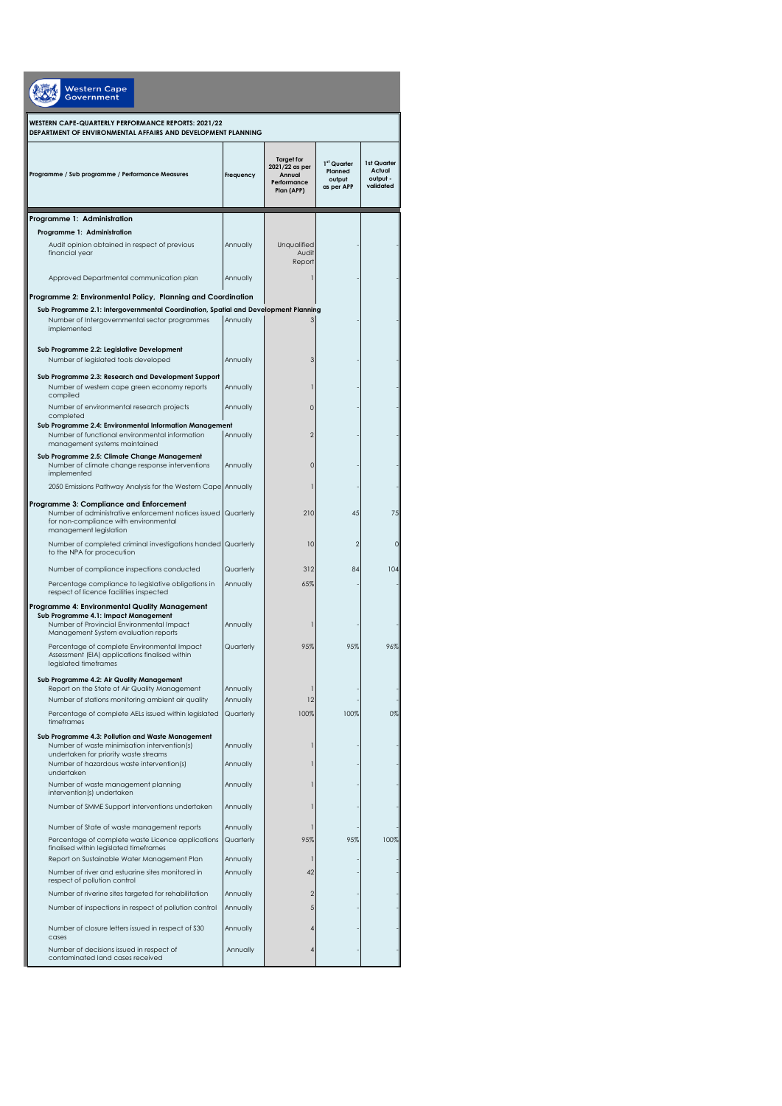| <b>Nestern Cape</b><br>Government                                                                                                                                           |                       |                                                                            |                                                            |                                                |  |  |
|-----------------------------------------------------------------------------------------------------------------------------------------------------------------------------|-----------------------|----------------------------------------------------------------------------|------------------------------------------------------------|------------------------------------------------|--|--|
| WESTERN CAPE-QUARTERLY PERFORMANCE REPORTS: 2021/22<br>DEPARTMENT OF ENVIRONMENTAL AFFAIRS AND DEVELOPMENT PLANNING                                                         |                       |                                                                            |                                                            |                                                |  |  |
| Programme / Sub programme / Performance Measures                                                                                                                            | Frequency             | <b>Target for</b><br>2021/22 as per<br>Annual<br>Performance<br>Plan (APP) | 1 <sup>st</sup> Quarter<br>Planned<br>output<br>as per APP | 1st Quarter<br>Actual<br>output -<br>validated |  |  |
| Programme 1: Administration                                                                                                                                                 |                       |                                                                            |                                                            |                                                |  |  |
| Programme 1: Administration                                                                                                                                                 |                       |                                                                            |                                                            |                                                |  |  |
| Audit opinion obtained in respect of previous<br>financial year                                                                                                             | Annually              | Unqualified<br>Audit<br>Report                                             |                                                            |                                                |  |  |
| Approved Departmental communication plan                                                                                                                                    | Annually              |                                                                            |                                                            |                                                |  |  |
| Programme 2: Environmental Policy, Planning and Coordination                                                                                                                |                       |                                                                            |                                                            |                                                |  |  |
| Sub Programme 2.1: Intergovernmental Coordination, Spatial and Development Planning<br>Number of Intergovernmental sector programmes<br>implemented                         | Annually              |                                                                            |                                                            |                                                |  |  |
| Sub Programme 2.2: Legislative Development<br>Number of legislated tools developed                                                                                          | Annually              | 3                                                                          |                                                            |                                                |  |  |
| Sub Programme 2.3: Research and Development Support<br>Number of western cape green economy reports<br>compiled                                                             | Annually              | 1                                                                          |                                                            |                                                |  |  |
| Number of environmental research projects<br>completed                                                                                                                      | Annually              | $\Omega$                                                                   |                                                            |                                                |  |  |
| Sub Programme 2.4: Environmental Information Management<br>Number of functional environmental information<br>management systems maintained                                  | Annually              | $\overline{2}$                                                             |                                                            |                                                |  |  |
| Sub Programme 2.5: Climate Change Management<br>Number of climate change response interventions<br>implemented                                                              | Annually              | $\circ$                                                                    |                                                            |                                                |  |  |
| 2050 Emissions Pathway Analysis for the Western Cape Annually                                                                                                               |                       |                                                                            |                                                            |                                                |  |  |
| Programme 3: Compliance and Enforcement<br>Number of administrative enforcement notices issued Quarterly<br>for non-compliance with environmental<br>management legislation |                       | 210                                                                        | 45                                                         | 75                                             |  |  |
| Number of completed criminal investigations handed Quarterly<br>to the NPA for procecution                                                                                  |                       | 10                                                                         | 2                                                          |                                                |  |  |
| Number of compliance inspections conducted                                                                                                                                  | Quarterly             | 312                                                                        | 84                                                         | 104                                            |  |  |
| Percentage compliance to legislative obligations in<br>respect of licence facilities inspected                                                                              | Annually              | 65%                                                                        |                                                            |                                                |  |  |
| Programme 4: Environmental Quality Management<br>Sub Programme 4.1: Impact Management<br>Number of Provincial Environmental Impact<br>Management System evaluation reports  | Annually              |                                                                            |                                                            |                                                |  |  |
| Percentage of complete Environmental Impact<br>Assessment (EIA) applications finalised within<br>legislated timeframes                                                      | Quarterly             | 95%                                                                        | 95%                                                        | 96%                                            |  |  |
| Sub Programme 4.2: Air Quality Management<br>Report on the State of Air Quality Management                                                                                  | Annually              |                                                                            |                                                            |                                                |  |  |
| Number of stations monitoring ambient air quality                                                                                                                           | Annually              | 12                                                                         |                                                            |                                                |  |  |
| Percentage of complete AELs issued within legislated<br>timeframes                                                                                                          | Quarterly             | 100%                                                                       | 100%                                                       | 0%                                             |  |  |
| Sub Programme 4.3: Pollution and Waste Management<br>Number of waste minimisation intervention(s)<br>undertaken for priority waste streams                                  | Annually              | Π                                                                          |                                                            |                                                |  |  |
| Number of hazardous waste intervention(s)<br>undertaken                                                                                                                     | Annually              |                                                                            |                                                            |                                                |  |  |
| Number of waste management planning<br>intervention(s) undertaken                                                                                                           | Annually              |                                                                            |                                                            |                                                |  |  |
| Number of SMME Support interventions undertaken                                                                                                                             | Annually              |                                                                            |                                                            |                                                |  |  |
| Number of State of waste management reports                                                                                                                                 | Annually              |                                                                            |                                                            |                                                |  |  |
| Percentage of complete waste Licence applications<br>finalised within legislated timeframes<br>Report on Sustainable Water Management Plan                                  | Quarterly<br>Annually | 95%                                                                        | 95%                                                        | 100%                                           |  |  |
| Number of river and estuarine sites monitored in                                                                                                                            | Annually              | 42                                                                         |                                                            |                                                |  |  |
| respect of pollution control<br>Number of riverine sites targeted for rehabilitation                                                                                        | Annually              | $\overline{2}$                                                             |                                                            |                                                |  |  |
| Number of inspections in respect of pollution control                                                                                                                       | Annually              | 5                                                                          |                                                            |                                                |  |  |
| Number of closure letters issued in respect of \$30                                                                                                                         | Annually              | 4                                                                          |                                                            |                                                |  |  |
| cases<br>Number of decisions issued in respect of<br>contaminated land cases received                                                                                       | Annually              |                                                                            |                                                            |                                                |  |  |